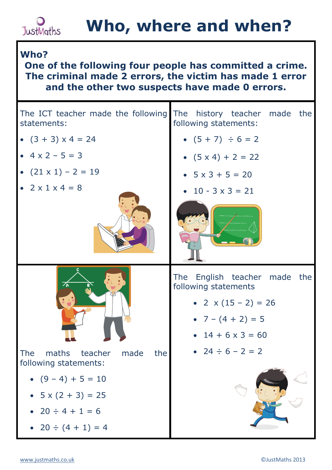## **JustMaths**

## **Who?**

## **One of the following four people has committed a crime. The criminal made 2 errors, the victim has made 1 error and the other two suspects have made 0 errors.**